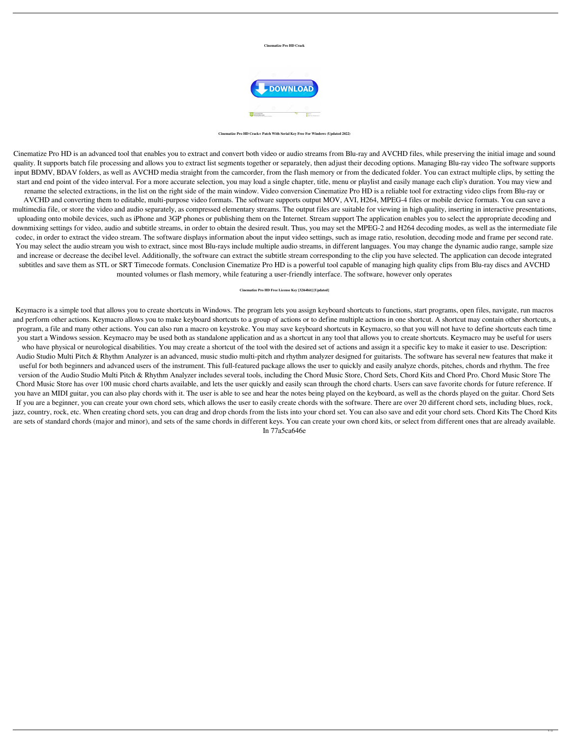## **Cinematize Pro HD Crack**



**Cinematize Pro HD Crack+ Patch With Serial Key Free For Windows (Updated 2022)**

Cinematize Pro HD is an advanced tool that enables you to extract and convert both video or audio streams from Blu-ray and AVCHD files, while preserving the initial image and sound quality. It supports batch file processing and allows you to extract list segments together or separately, then adjust their decoding options. Managing Blu-ray video The software supports input BDMV, BDAV folders, as well as AVCHD media straight from the camcorder, from the flash memory or from the dedicated folder. You can extract multiple clips, by setting the start and end point of the video interval. For a more accurate selection, you may load a single chapter, title, menu or playlist and easily manage each clip's duration. You may view and rename the selected extractions, in the list on the right side of the main window. Video conversion Cinematize Pro HD is a reliable tool for extracting video clips from Blu-ray or AVCHD and converting them to editable, multi-purpose video formats. The software supports output MOV, AVI, H264, MPEG-4 files or mobile device formats. You can save a multimedia file, or store the video and audio separately, as compressed elementary streams. The output files are suitable for viewing in high quality, inserting in interactive presentations, uploading onto mobile devices, such as iPhone and 3GP phones or publishing them on the Internet. Stream support The application enables you to select the appropriate decoding and downmixing settings for video, audio and subtitle streams, in order to obtain the desired result. Thus, you may set the MPEG-2 and H264 decoding modes, as well as the intermediate file codec, in order to extract the video stream. The software displays information about the input video settings, such as image ratio, resolution, decoding mode and frame per second rate. You may select the audio stream you wish to extract, since most Blu-rays include multiple audio streams, in different languages. You may change the dynamic audio range, sample size and increase or decrease the decibel level. Additionally, the software can extract the subtitle stream corresponding to the clip you have selected. The application can decode integrated subtitles and save them as STL or SRT Timecode formats. Conclusion Cinematize Pro HD is a powerful tool capable of managing high quality clips from Blu-ray discs and AVCHD

## mounted volumes or flash memory, while featuring a user-friendly interface. The software, however only operates

## **Cinematize Pro HD Free License Key [32|64bit] [Updated]**

Keymacro is a simple tool that allows you to create shortcuts in Windows. The program lets you assign keyboard shortcuts to functions, start programs, open files, navigate, run macros and perform other actions. Keymacro allows you to make keyboard shortcuts to a group of actions or to define multiple actions in one shortcut. A shortcut may contain other shortcuts, a program, a file and many other actions. You can also run a macro on keystroke. You may save keyboard shortcuts in Keymacro, so that you will not have to define shortcuts each time you start a Windows session. Keymacro may be used both as standalone application and as a shortcut in any tool that allows you to create shortcuts. Keymacro may be useful for users who have physical or neurological disabilities. You may create a shortcut of the tool with the desired set of actions and assign it a specific key to make it easier to use. Description: Audio Studio Multi Pitch & Rhythm Analyzer is an advanced, music studio multi-pitch and rhythm analyzer designed for guitarists. The software has several new features that make it useful for both beginners and advanced users of the instrument. This full-featured package allows the user to quickly and easily analyze chords, pitches, chords and rhythm. The free version of the Audio Studio Multi Pitch & Rhythm Analyzer includes several tools, including the Chord Music Store, Chord Sets, Chord Kits and Chord Pro. Chord Music Store The Chord Music Store has over 100 music chord charts available, and lets the user quickly and easily scan through the chord charts. Users can save favorite chords for future reference. If you have an MIDI guitar, you can also play chords with it. The user is able to see and hear the notes being played on the keyboard, as well as the chords played on the guitar. Chord Sets If you are a beginner, you can create your own chord sets, which allows the user to easily create chords with the software. There are over 20 different chord sets, including blues, rock, jazz, country, rock, etc. When creating chord sets, you can drag and drop chords from the lists into your chord set. You can also save and edit your chord sets. Chord Kits The Chord Kits are sets of standard chords (major and minor), and sets of the same chords in different keys. You can create your own chord kits, or select from different ones that are already available. In 77a5ca646e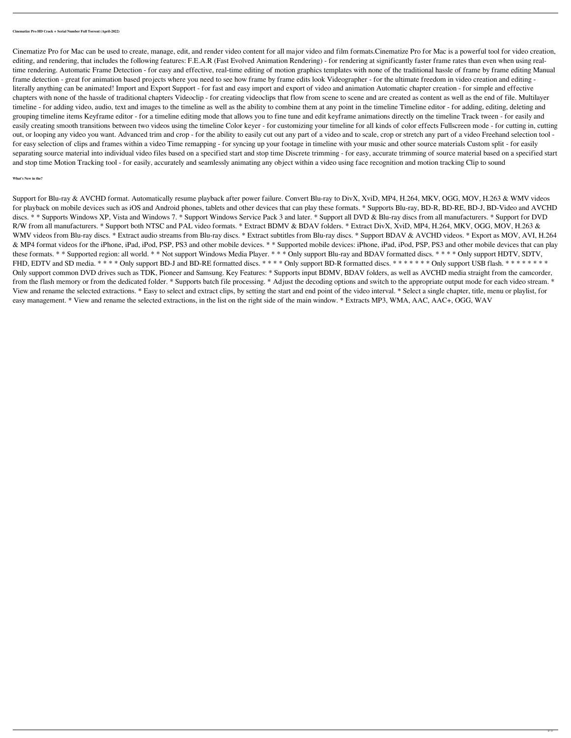**Cinematize Pro HD Crack + Serial Number Full Torrent (April-2022)**

Cinematize Pro for Mac can be used to create, manage, edit, and render video content for all major video and film formats.Cinematize Pro for Mac is a powerful tool for video creation, editing, and rendering, that includes the following features: F.E.A.R (Fast Evolved Animation Rendering) - for rendering at significantly faster frame rates than even when using realtime rendering. Automatic Frame Detection - for easy and effective, real-time editing of motion graphics templates with none of the traditional hassle of frame by frame editing Manual frame detection - great for animation based projects where you need to see how frame by frame edits look Videographer - for the ultimate freedom in video creation and editing literally anything can be animated! Import and Export Support - for fast and easy import and export of video and animation Automatic chapter creation - for simple and effective chapters with none of the hassle of traditional chapters Videoclip - for creating videoclips that flow from scene to scene and are created as content as well as the end of file. Multilayer timeline - for adding video, audio, text and images to the timeline as well as the ability to combine them at any point in the timeline Timeline editor - for adding, editing, deleting and grouping timeline items Keyframe editor - for a timeline editing mode that allows you to fine tune and edit keyframe animations directly on the timeline Track tween - for easily and easily creating smooth transitions between two videos using the timeline Color keyer - for customizing your timeline for all kinds of color effects Fullscreen mode - for cutting in, cutting out, or looping any video you want. Advanced trim and crop - for the ability to easily cut out any part of a video and to scale, crop or stretch any part of a video Freehand selection tool for easy selection of clips and frames within a video Time remapping - for syncing up your footage in timeline with your music and other source materials Custom split - for easily separating source material into individual video files based on a specified start and stop time Discrete trimming - for easy, accurate trimming of source material based on a specified start and stop time Motion Tracking tool - for easily, accurately and seamlessly animating any object within a video using face recognition and motion tracking Clip to sound

Support for Blu-ray & AVCHD format. Automatically resume playback after power failure. Convert Blu-ray to DivX, XviD, MP4, H.264, MKV, OGG, MOV, H.263 & WMV videos for playback on mobile devices such as iOS and Android phones, tablets and other devices that can play these formats. \* Supports Blu-ray, BD-R, BD-RE, BD-J, BD-Video and AVCHD discs. \* \* Supports Windows XP, Vista and Windows 7. \* Support Windows Service Pack 3 and later. \* Support all DVD & Blu-ray discs from all manufacturers. \* Support for DVD R/W from all manufacturers. \* Support both NTSC and PAL video formats. \* Extract BDMV & BDAV folders. \* Extract DivX, XviD, MP4, H.264, MKV, OGG, MOV, H.263 & WMV videos from Blu-ray discs. \* Extract audio streams from Blu-ray discs. \* Extract subtitles from Blu-ray discs. \* Support BDAV & AVCHD videos. \* Export as MOV, AVI, H.264 & MP4 format videos for the iPhone, iPad, iPod, PSP, PS3 and other mobile devices. \* \* Supported mobile devices: iPhone, iPad, iPod, PSP, PS3 and other mobile devices that can play these formats. \* \* Supported region: all world. \* \* Not support Windows Media Player. \* \* \* Only support Blu-ray and BDAV formatted discs. \* \* \* \* Only support HDTV, SDTV, FHD, EDTV and SD media. \* \* \* \* Only support BD-J and BD-RE formatted discs. \* \* \* \* Only support BD-R formatted discs. \* \* \* \* \* \* \* Only support USB flash. \* \* \* \* \* \* \* \* Only support common DVD drives such as TDK, Pioneer and Samsung. Key Features: \* Supports input BDMV, BDAV folders, as well as AVCHD media straight from the camcorder, from the flash memory or from the dedicated folder. \* Supports batch file processing. \* Adjust the decoding options and switch to the appropriate output mode for each video stream. \* View and rename the selected extractions. \* Easy to select and extract clips, by setting the start and end point of the video interval. \* Select a single chapter, title, menu or playlist, for easy management. \* View and rename the selected extractions, in the list on the right side of the main window. \* Extracts MP3, WMA, AAC, AAC+, OGG, WAV

## **What's New in the?**